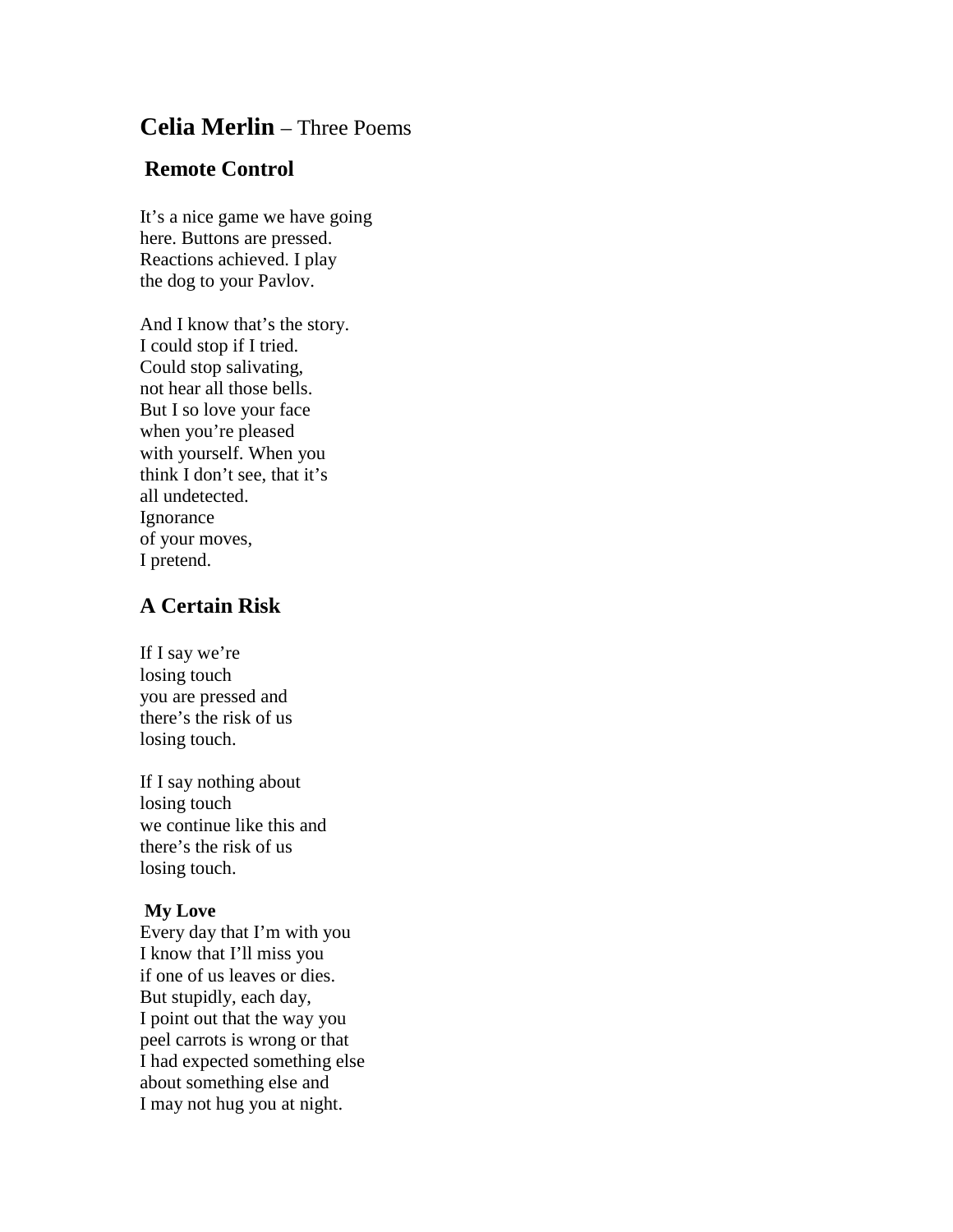## **Celia Merlin** – Three Poems

## **Remote Control**

It's a nice game we have going here. Buttons are pressed. Reactions achieved. I play the dog to your Pavlov.

And I know that's the story. I could stop if I tried. Could stop salivating, not hear all those bells. But I so love your face when you're pleased with yourself. When you think I don't see, that it's all undetected. **Ignorance** of your moves, I pretend.

## **A Certain Risk**

If I say we're losing touch you are pressed and there's the risk of us losing touch.

If I say nothing about losing touch we continue like this and there's the risk of us losing touch.

## **My Love**

Every day that I'm with you I know that I'll miss you if one of us leaves or dies. But stupidly, each day, I point out that the way you peel carrots is wrong or that I had expected something else about something else and I may not hug you at night.